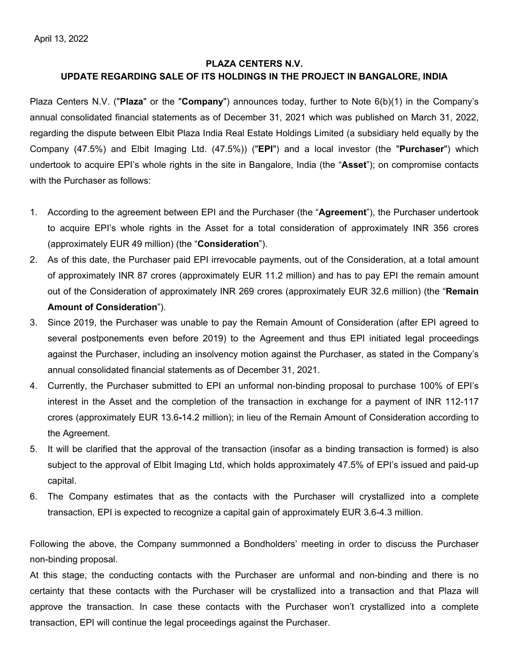# **PLAZA CENTERS N.V. UPDATE REGARDING SALE OF ITS HOLDINGS IN THE PROJECT IN BANGALORE, INDIA**

Plaza Centers N.V. ("**Plaza**" or the "**Company**") announces today, further to Note 6(b)(1) in the Company's annual consolidated financial statements as of December 31, 2021 which was published on March 31, 2022, regarding the dispute between Elbit Plaza India Real Estate Holdings Limited (a subsidiary held equally by the Company (47.5%) and Elbit Imaging Ltd. (47.5%)) ("**EPI**") and a local investor (the "**Purchaser**") which undertook to acquire EPI's whole rights in the site in Bangalore, India (the "**Asset**"); on compromise contacts with the Purchaser as follows:

- 1. According to the agreement between EPI and the Purchaser (the "**Agreement**"), the Purchaser undertook to acquire EPI's whole rights in the Asset for a total consideration of approximately INR 356 crores (approximately EUR 49 million) (the "**Consideration**").
- 2. As of this date, the Purchaser paid EPI irrevocable payments, out of the Consideration, at a total amount of approximately INR 87 crores (approximately EUR 11.2 million) and has to pay EPI the remain amount out of the Consideration of approximately INR 269 crores (approximately EUR 32.6 million) (the "**Remain Amount of Consideration**").
- 3. Since 2019, the Purchaser was unable to pay the Remain Amount of Consideration (after EPI agreed to several postponements even before 2019) to the Agreement and thus EPI initiated legal proceedings against the Purchaser, including an insolvency motion against the Purchaser, as stated in the Company's annual consolidated financial statements as of December 31, 2021.
- 4. Currently, the Purchaser submitted to EPI an unformal non-binding proposal to purchase 100% of EPI's interest in the Asset and the completion of the transaction in exchange for a payment of INR 112-117 crores (approximately EUR 13.6**-**14.2 million); in lieu of the Remain Amount of Consideration according to the Agreement.
- 5. It will be clarified that the approval of the transaction (insofar as a binding transaction is formed) is also subject to the approval of Elbit Imaging Ltd, which holds approximately 47.5% of EPI's issued and paid-up capital.
- 6. The Company estimates that as the contacts with the Purchaser will crystallized into a complete transaction, EPI is expected to recognize a capital gain of approximately EUR 3.6-4.3 million.

Following the above, the Company summonned a Bondholders' meeting in order to discuss the Purchaser non-binding proposal.

At this stage, the conducting contacts with the Purchaser are unformal and non-binding and there is no certainty that these contacts with the Purchaser will be crystallized into a transaction and that Plaza will approve the transaction. In case these contacts with the Purchaser won't crystallized into a complete transaction, EPI will continue the legal proceedings against the Purchaser.